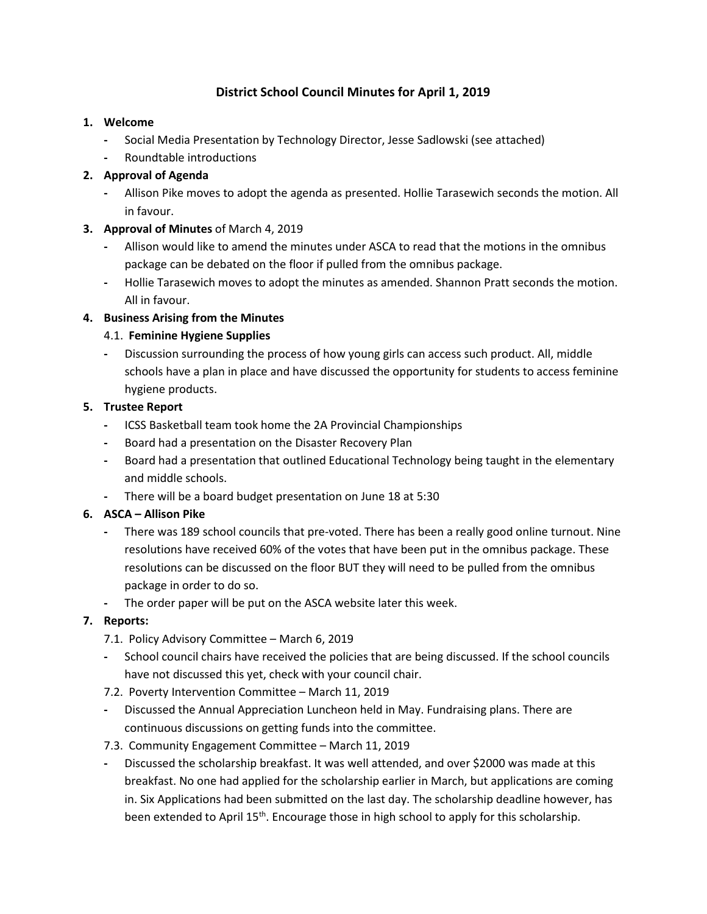# **District School Council Minutes for April 1, 2019**

### **1. Welcome**

- **-** Social Media Presentation by Technology Director, Jesse Sadlowski (see attached)
- **-** Roundtable introductions

## **2. Approval of Agenda**

**-** Allison Pike moves to adopt the agenda as presented. Hollie Tarasewich seconds the motion. All in favour.

### **3. Approval of Minutes** of March 4, 2019

- **-** Allison would like to amend the minutes under ASCA to read that the motions in the omnibus package can be debated on the floor if pulled from the omnibus package.
- **-** Hollie Tarasewich moves to adopt the minutes as amended. Shannon Pratt seconds the motion. All in favour.

### **4. Business Arising from the Minutes**

### 4.1. **Feminine Hygiene Supplies**

**-** Discussion surrounding the process of how young girls can access such product. All, middle schools have a plan in place and have discussed the opportunity for students to access feminine hygiene products.

### **5. Trustee Report**

- **-** ICSS Basketball team took home the 2A Provincial Championships
- **-** Board had a presentation on the Disaster Recovery Plan
- **-** Board had a presentation that outlined Educational Technology being taught in the elementary and middle schools.
- **-** There will be a board budget presentation on June 18 at 5:30

# **6. ASCA – Allison Pike**

- **-** There was 189 school councils that pre-voted. There has been a really good online turnout. Nine resolutions have received 60% of the votes that have been put in the omnibus package. These resolutions can be discussed on the floor BUT they will need to be pulled from the omnibus package in order to do so.
- **-** The order paper will be put on the ASCA website later this week.

# **7. Reports:**

- 7.1. Policy Advisory Committee March 6, 2019
- **-** School council chairs have received the policies that are being discussed. If the school councils have not discussed this yet, check with your council chair.
- 7.2. Poverty Intervention Committee March 11, 2019
- **-** Discussed the Annual Appreciation Luncheon held in May. Fundraising plans. There are continuous discussions on getting funds into the committee.
- 7.3. Community Engagement Committee March 11, 2019
- **-** Discussed the scholarship breakfast. It was well attended, and over \$2000 was made at this breakfast. No one had applied for the scholarship earlier in March, but applications are coming in. Six Applications had been submitted on the last day. The scholarship deadline however, has been extended to April 15<sup>th</sup>. Encourage those in high school to apply for this scholarship.